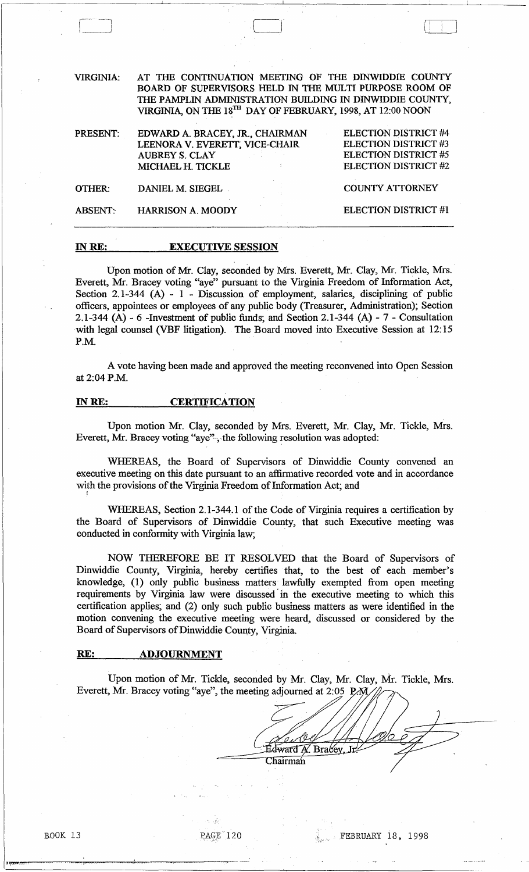VIRGINIA: AT THE CONTINUATION MEETING OF THE DINWIDDIE COUNTY BOARD OF SUPERVISORS HELD IN THE MULTI PURPOSE ROOM OF THE PAMPLIN ADMINISTRATION BUILDING IN DINWIDDIE COUNTY, VIRGINIA, ON THE 18<sup>TH</sup> DAY OF FEBRUARY, 1998, AT 12:00 NOON

| PRESENT:       | EDWARD A. BRACEY, JR., CHAIRMAN                    | ELECTION DISTRICT #4        |
|----------------|----------------------------------------------------|-----------------------------|
|                | LEENORA V. EVERETT, VICE-CHAIR                     | <b>ELECTION DISTRICT #3</b> |
|                | <b>AUBREY S. CLAY</b><br>and the state of the con- | <b>ELECTION DISTRICT #5</b> |
|                | MICHAEL H. TICKLE                                  | <b>ELECTION DISTRICT #2</b> |
| OTHER:         | DANIEL M. SIEGEL                                   | <b>COUNTY ATTORNEY</b>      |
| <b>ABSENT:</b> | <b>HARRISON A. MOODY</b>                           | ELECTION DISTRICT #1        |

## IN RE: EXECUTIVE SESSION

 $-1$ J

Upon motion of Mr. Clay, seconded by Mrs. Everett, Mr. Clay, Mr. Tickle, Mrs. Everett, Mr. Bracey voting "aye" pursuant to the Virginia Freedom of Information Act, Section 2.1-344 (A) - 1 - Discussion of employment, salaries, disciplining of public officers, appointees or employees of any public body (Treasurer, Administration); Section 2.1-344 (A) - 6 -Investment of public funds; and Section 2.1-344 (A) -  $7$  - Consultation with legal counsel (VBF litigation). The Board moved into Executive Session at 12:15 P.M.

A vote having been made and approved the meeting reconvened into Open Session at 2:04P.M.

## INRE: CERTIFICATION

Upon motion Mr. Clay, seconded by Mrs. Everett, Mr. Clay, Mr. Tickle, Mrs. Everett, Mr. Bracey voting "aye'?",-the following resolution was adopted:

WHEREAS, the Board of Supervisors of Dinwiddie County convened an executive meeting on this date pursuant to an affirmative recorded vote and in accordance with the provisions of the Virginia Freedom of Information Act; and

WHEREAS, Section 2.1-344.1 of the Code of Virginia requires a certification by the Board of Supervisors of Dinwiddie County, that such Executive meeting was conducted in conformity with Virginia law; .

NOW THEREFORE BE IT RESOLVED that the Board of Supervisors of Dinwiddie County, Virginia, hereby certifies that, to the best of each member's knowledge, (1) only public business matters' lawfully exempted from open meeting requirements by Virginia law were discussed' in the executive meeting to which this certification applies; and (2) only such public business matters as were identified in the motion convening the executive meeting were heard, discussed or considered by the Board of Supervisors of Dinwiddie County, Virginia.

## RE: ADJOURNMENT

Upon motion of Mr. Tickle, seconded by Mr\_ Clay, Mr. Clay, Mr. Tickle, Mrs. Everett, Mr. Bracey voting "aye", the meeting adjourned at 2:05 P. N.

 $\sim \tilde{W}^{\pm}$ 

---..,-- .-~--